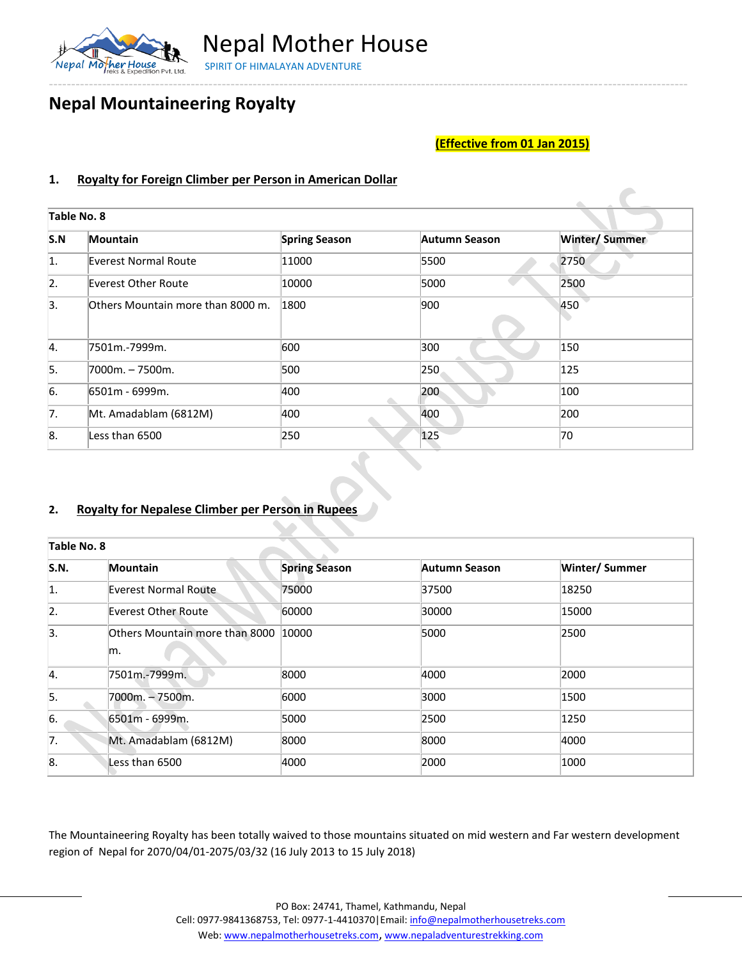

Nepal Mother House SPIRIT OF HIMALAYAN ADVENTURE

# **Nepal Mountaineering Royalty**

## **(Effective from 01 Jan 2015)**

### **1. Royalty for Foreign Climber per Person in American Dollar**

| Table No. 8      |                                   |                      |               |                      |
|------------------|-----------------------------------|----------------------|---------------|----------------------|
| S.N              | Mountain                          | <b>Spring Season</b> | Autumn Season | <b>Winter/Summer</b> |
| $\vert$ 1.       | Everest Normal Route              | 11000                | 5500          | 2750                 |
| $\overline{2}$ . | Everest Other Route               | 10000                | 5000          | 2500                 |
| 3.               | Others Mountain more than 8000 m. | 1800                 | 900           | 450                  |
| 4.               | 7501m.-7999m.                     | 600                  | 300           | 150                  |
| 5.               | 7000m. - 7500m.                   | 500                  | 250           | 125                  |
| 6.               | 6501m - 6999m.                    | 400                  | 200           | 100                  |
| 7.               | Mt. Amadablam (6812M)             | 400                  | 400           | 200                  |
| 8.               | Less than 6500                    | 250                  | 125           | 70                   |

### **2. Royalty for Nepalese Climber per Person in Rupees**

| Table No. 8      |                                      |                      |               |                      |  |
|------------------|--------------------------------------|----------------------|---------------|----------------------|--|
| <b>S.N.</b>      | Mountain                             | <b>Spring Season</b> | Autumn Season | <b>Winter/Summer</b> |  |
| 1.               | Everest Normal Route                 | 75000                | 37500         | 18250                |  |
| $\overline{2}$ . | Everest Other Route                  | 60000                | 30000         | 15000                |  |
| 3.               | Others Mountain more than 8000<br>m. | 10000                | 5000          | 2500                 |  |
| 4.               | 7501m.-7999m.                        | 8000                 | 4000          | 2000                 |  |
| 5.               | 7000m. - 7500m.                      | 6000                 | 3000          | 1500                 |  |
| 6.               | 6501m - 6999m.                       | 5000                 | 2500          | 1250                 |  |
| 7.               | Mt. Amadablam (6812M)                | 8000                 | 8000          | 4000                 |  |
| 8.               | Less than 6500                       | 4000                 | 2000          | 1000                 |  |

The Mountaineering Royalty has been totally waived to those mountains situated on mid western and Far western development region of Nepal for 2070/04/01-2075/03/32 (16 July 2013 to 15 July 2018)